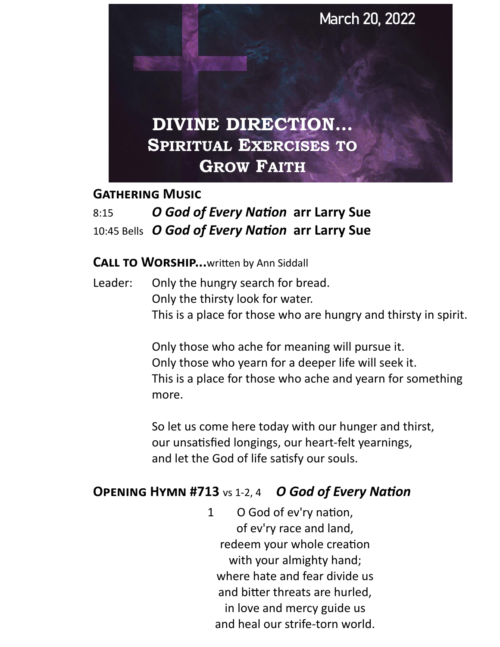

#### **Gathering Music**

# 8:15 *O God of Every Nation* **arr Larry Sue**  10:45 Bells *O God of Every Nation* **arr Larry Sue**

#### **CALL TO WORSHIP...**written by Ann Siddall

Leader: Only the hungry search for bread. Only the thirsty look for water. This is a place for those who are hungry and thirsty in spirit.

> Only those who ache for meaning will pursue it. Only those who yearn for a deeper life will seek it. This is a place for those who ache and yearn for something more.

So let us come here today with our hunger and thirst, our unsatisfied longings, our heart-felt yearnings, and let the God of life satisfy our souls.

### **Opening Hymn #713** vs 1-2, 4*O God of Every Nation*

1 O God of ev'ry nation, of ev'ry race and land, redeem your whole creation with your almighty hand; where hate and fear divide us and bitter threats are hurled, in love and mercy guide us and heal our strife-torn world.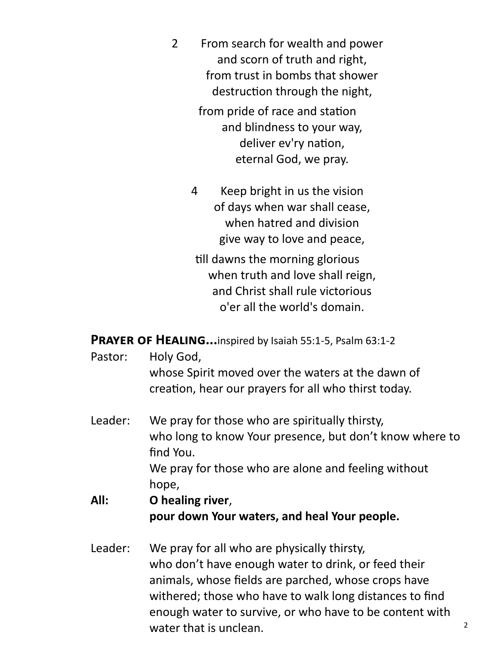2 From search for wealth and power and scorn of truth and right, from trust in bombs that shower destruction through the night,

> from pride of race and station and blindness to your way, deliver ev'ry nation, eternal God, we pray.

4 Keep bright in us the vision of days when war shall cease, when hatred and division give way to love and peace,

till dawns the morning glorious when truth and love shall reign, and Christ shall rule victorious o'er all the world's domain.

PRAYER OF HEALING...inspired by Isaiah 55:1-5, Psalm 63:1-2

- Pastor: Holy God, whose Spirit moved over the waters at the dawn of creation, hear our prayers for all who thirst today.
- Leader: We pray for those who are spiritually thirsty, who long to know Your presence, but don't know where to find You. We pray for those who are alone and feeling without hope,

## **All: O healing river**, **pour down Your waters, and heal Your people.**

Leader: We pray for all who are physically thirsty, who don't have enough water to drink, or feed their animals, whose fields are parched, whose crops have withered; those who have to walk long distances to find enough water to survive, or who have to be content with water that is unclean.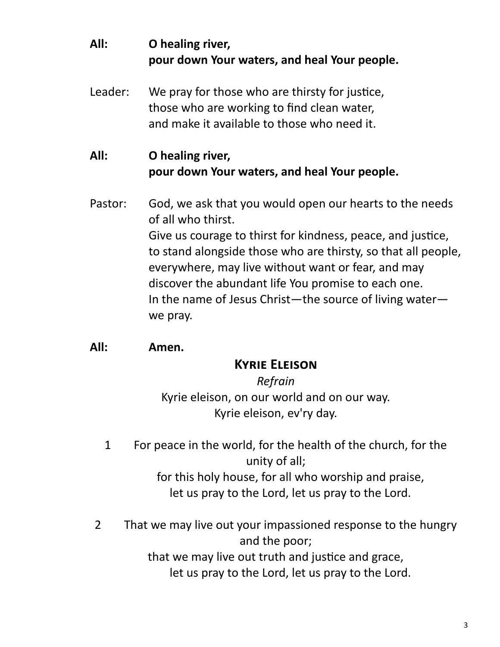# **All: O healing river, pour down Your waters, and heal Your people.**

Leader: We pray for those who are thirsty for justice, those who are working to find clean water, and make it available to those who need it.

### **All: O healing river, pour down Your waters, and heal Your people.**

Pastor: God, we ask that you would open our hearts to the needs of all who thirst. Give us courage to thirst for kindness, peace, and justice, to stand alongside those who are thirsty, so that all people, everywhere, may live without want or fear, and may discover the abundant life You promise to each one. In the name of Jesus Christ—the source of living water we pray.

### **All: Amen.**

### **Kyrie Eleison**

*Refrain* Kyrie eleison, on our world and on our way. Kyrie eleison, ev'ry day.

1 For peace in the world, for the health of the church, for the unity of all;

for this holy house, for all who worship and praise, let us pray to the Lord, let us pray to the Lord.

2 That we may live out your impassioned response to the hungry and the poor; that we may live out truth and justice and grace,

let us pray to the Lord, let us pray to the Lord.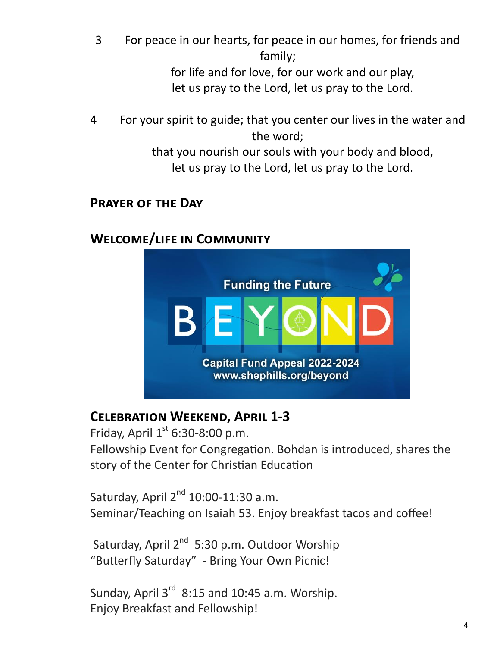- 3 For peace in our hearts, for peace in our homes, for friends and family; for life and for love, for our work and our play, let us pray to the Lord, let us pray to the Lord.
- 4 For your spirit to guide; that you center our lives in the water and the word; that you nourish our souls with your body and blood, let us pray to the Lord, let us pray to the Lord.

### **Prayer of the Day**

# **Welcome/life in Community**



# **Celebration Weekend, April 1-3**

Friday, April  $1<sup>st</sup>$  6:30-8:00 p.m. Fellowship Event for Congregation. Bohdan is introduced, shares the story of the Center for Christian Education

Saturday, April  $2^{nd}$  10:00-11:30 a.m. Seminar/Teaching on Isaiah 53. Enjoy breakfast tacos and coffee!

Saturday, April 2<sup>nd</sup> 5:30 p.m. Outdoor Worship "Butterfly Saturday" - Bring Your Own Picnic!

Sunday, April  $3^{rd}$  8:15 and 10:45 a.m. Worship. Enjoy Breakfast and Fellowship!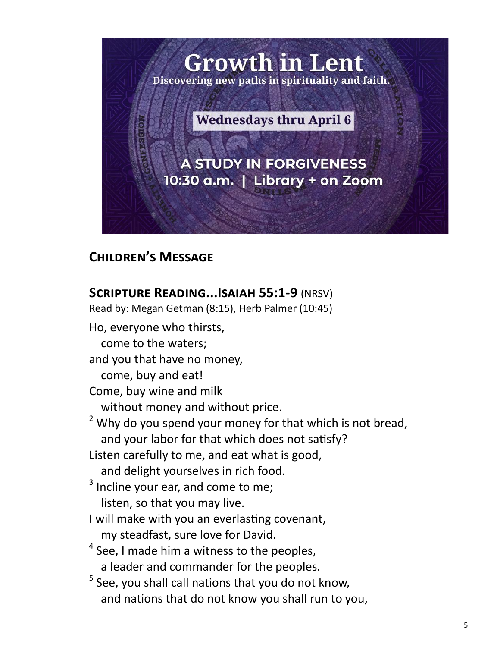

# **Children's Message**

### **Scripture Reading...Isaiah 55:1-9** (NRSV)

Read by: Megan Getman (8:15), Herb Palmer (10:45) Ho, everyone who thirsts, come to the waters; and you that have no money, come, buy and eat! Come, buy wine and milk without money and without price.  $2$  Why do you spend your money for that which is not bread, and your labor for that which does not satisfy? Listen carefully to me, and eat what is good, and delight yourselves in rich food.  $3$  Incline your ear, and come to me; listen, so that you may live. I will make with you an everlasting covenant, my steadfast, sure love for David.  $<sup>4</sup>$  See, I made him a witness to the peoples,</sup> a leader and commander for the peoples. <sup>5</sup> See, you shall call nations that you do not know, and nations that do not know you shall run to you,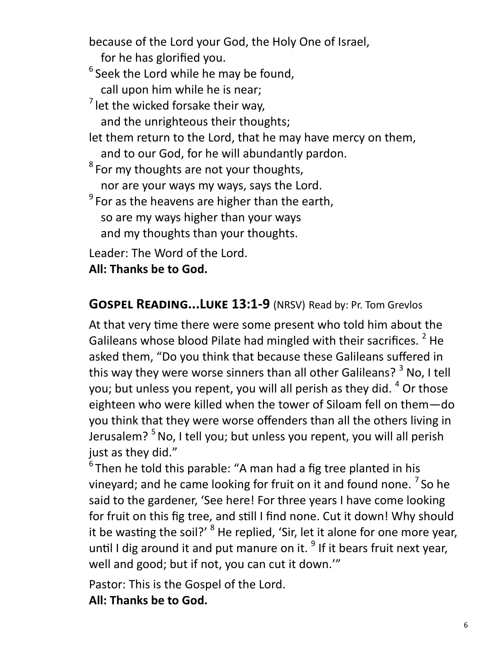because of the Lord your God, the Holy One of Israel, for he has glorified you.  $^6$  Seek the Lord while he may be found, call upon him while he is near;  $<sup>7</sup>$  let the wicked forsake their way,</sup> and the unrighteous their thoughts; let them return to the Lord, that he may have mercy on them, and to our God, for he will abundantly pardon.  $^8$  For my thoughts are not your thoughts, nor are your ways my ways, says the Lord.  $^9$  For as the heavens are higher than the earth, so are my ways higher than your ways and my thoughts than your thoughts. Leader: The Word of the Lord.

**All: Thanks be to God.**

### **Gospel Reading...Luke 13:1-9** (NRSV) Read by: Pr. Tom Grevlos

At that very time there were some present who told him about the Galileans whose blood Pilate had mingled with their sacrifices. <sup>2</sup> He asked them, "Do you think that because these Galileans suffered in this way they were worse sinners than all other Galileans?  $3$  No, I tell you; but unless you repent, you will all perish as they did. <sup>4</sup> Or those eighteen who were killed when the tower of Siloam fell on them—do you think that they were worse offenders than all the others living in Jerusalem?  $5$  No, I tell you; but unless you repent, you will all perish just as they did."

 $^6$ Then he told this parable: "A man had a fig tree planted in his vineyard; and he came looking for fruit on it and found none. <sup>7</sup> So he said to the gardener, 'See here! For three years I have come looking for fruit on this fig tree, and still I find none. Cut it down! Why should it be wasting the soil?' <sup>8</sup> He replied, 'Sir, let it alone for one more year, until I dig around it and put manure on it.  $9$  If it bears fruit next year, well and good; but if not, you can cut it down.'"

Pastor: This is the Gospel of the Lord.

**All: Thanks be to God.**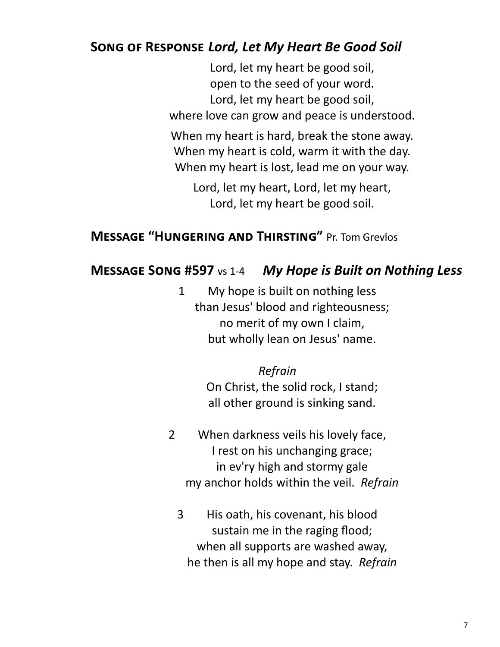# **Song of Response** *Lord, Let My Heart Be Good Soil*

Lord, let my heart be good soil, open to the seed of your word. Lord, let my heart be good soil, where love can grow and peace is understood. When my heart is hard, break the stone away. When my heart is cold, warm it with the day. When my heart is lost, lead me on your way.

Lord, let my heart, Lord, let my heart, Lord, let my heart be good soil.

# **Message "Hungering and Thirsting"** Pr. Tom Grevlos

## **Message Song #597** vs 1-4 *My Hope is Built on Nothing Less*

1 My hope is built on nothing less than Jesus' blood and righteousness; no merit of my own I claim, but wholly lean on Jesus' name.

#### *Refrain*

On Christ, the solid rock, I stand; all other ground is sinking sand.

- 2 When darkness veils his lovely face, I rest on his unchanging grace; in ev'ry high and stormy gale my anchor holds within the veil. *Refrain*
	- 3 His oath, his covenant, his blood sustain me in the raging flood; when all supports are washed away, he then is all my hope and stay. *Refrain*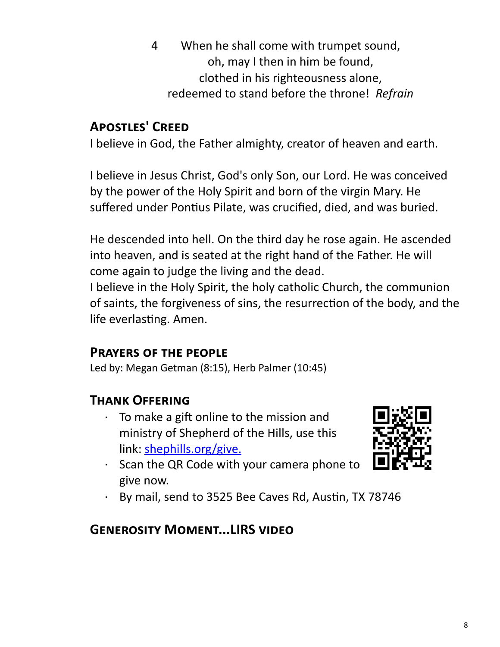4 When he shall come with trumpet sound, oh, may I then in him be found, clothed in his righteousness alone, redeemed to stand before the throne! *Refrain*

# **Apostles' Creed**

I believe in God, the Father almighty, creator of heaven and earth.

I believe in Jesus Christ, God's only Son, our Lord. He was conceived by the power of the Holy Spirit and born of the virgin Mary. He suffered under Pontius Pilate, was crucified, died, and was buried.

He descended into hell. On the third day he rose again. He ascended into heaven, and is seated at the right hand of the Father. He will come again to judge the living and the dead.

I believe in the Holy Spirit, the holy catholic Church, the communion of saints, the forgiveness of sins, the resurrection of the body, and the life everlasting. Amen.

#### **Prayers of the people**

Led by: Megan Getman (8:15), Herb Palmer (10:45)

### **Thank Offering**

- To make a gift online to the mission and ministry of Shepherd of the Hills, use this link: [shephills.org/give.](https://shephills.org/give/)
- 
- Scan the QR Code with your camera phone to give now.
- By mail, send to 3525 Bee Caves Rd, Austin, TX 78746

# **Generosity Moment...LIRS video**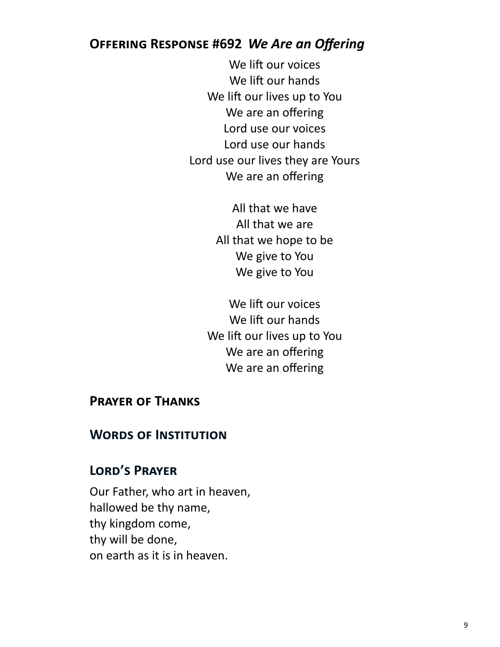### **Offering Response #692** *We Are an Offering*

We lift our voices We lift our hands We lift our lives up to You We are an offering Lord use our voices Lord use our hands Lord use our lives they are Yours We are an offering

> All that we have All that we are All that we hope to be We give to You We give to You

We lift our voices We lift our hands We lift our lives up to You We are an offering We are an offering

#### **Prayer of Thanks**

### **Words of Institution**

### **Lord's Prayer**

Our Father, who art in heaven, hallowed be thy name, thy kingdom come, thy will be done, on earth as it is in heaven.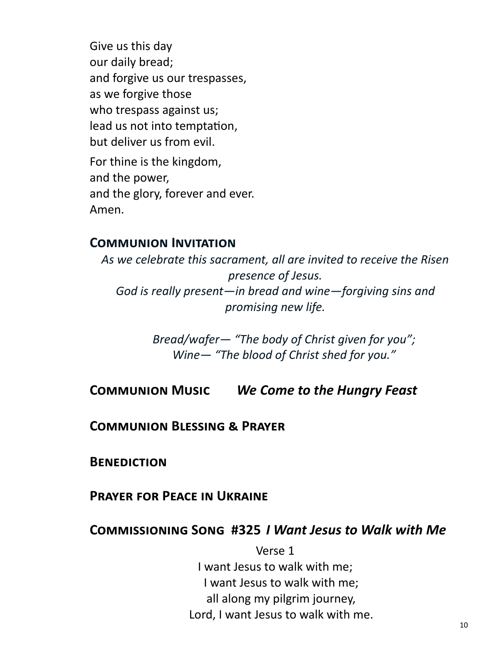Give us this day our daily bread; and forgive us our trespasses, as we forgive those who trespass against us; lead us not into temptation, but deliver us from evil. For thine is the kingdom, and the power, and the glory, forever and ever. Amen.

#### **Communion Invitation**

*As we celebrate this sacrament, all are invited to receive the Risen presence of Jesus. God is really present—in bread and wine—forgiving sins and promising new life.* 

> *Bread/wafer— "The body of Christ given for you"; Wine— "The blood of Christ shed for you."*

**Communion Music** *We Come to the Hungry Feast* 

**Communion Blessing & Prayer**

**Benediction**

**Prayer for Peace in Ukraine**

#### **Commissioning Song #325** *I Want Jesus to Walk with Me*

Verse 1 I want Jesus to walk with me; I want Jesus to walk with me; all along my pilgrim journey, Lord, I want Jesus to walk with me.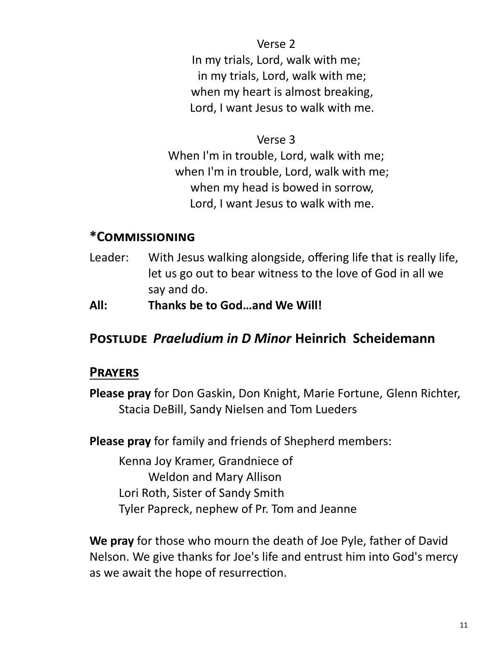Verse 2 In my trials, Lord, walk with me; in my trials, Lord, walk with me; when my heart is almost breaking, Lord, I want Jesus to walk with me.

#### Verse 3

When I'm in trouble, Lord, walk with me; when I'm in trouble, Lord, walk with me; when my head is bowed in sorrow, Lord, I want Jesus to walk with me.

### **\*Commissioning**

- Leader: With Jesus walking alongside, offering life that is really life, let us go out to bear witness to the love of God in all we say and do.
- **All: Thanks be to God…and We Will!**

### **Postlude** *Praeludium in D Minor* **Heinrich Scheidemann**

### **Prayers**

**Please pray** for Don Gaskin, Don Knight, Marie Fortune, Glenn Richter, Stacia DeBill, Sandy Nielsen and Tom Lueders

**Please pray** for family and friends of Shepherd members:

Kenna Joy Kramer, Grandniece of Weldon and Mary Allison Lori Roth, Sister of Sandy Smith Tyler Papreck, nephew of Pr. Tom and Jeanne

**We pray** for those who mourn the death of Joe Pyle, father of David Nelson. We give thanks for Joe's life and entrust him into God's mercy as we await the hope of resurrection.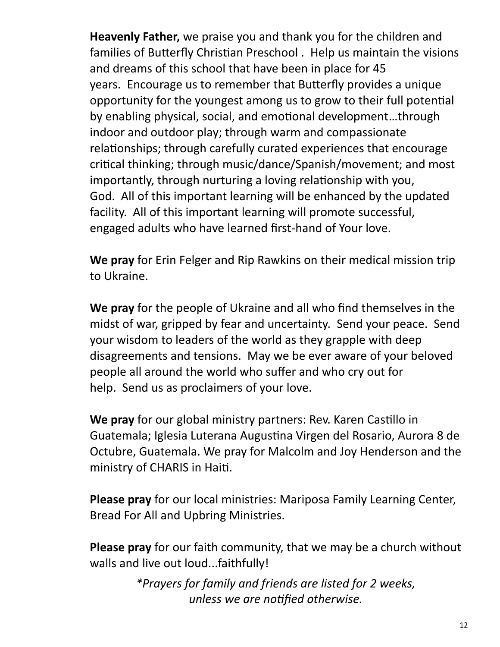**Heavenly Father,** we praise you and thank you for the children and families of Butterfly Christian Preschool . Help us maintain the visions and dreams of this school that have been in place for 45 years. Encourage us to remember that Butterfly provides a unique opportunity for the youngest among us to grow to their full potential by enabling physical, social, and emotional development…through indoor and outdoor play; through warm and compassionate relationships; through carefully curated experiences that encourage critical thinking; through music/dance/Spanish/movement; and most importantly, through nurturing a loving relationship with you, God. All of this important learning will be enhanced by the updated facility. All of this important learning will promote successful, engaged adults who have learned first-hand of Your love.

**We pray** for Erin Felger and Rip Rawkins on their medical mission trip to Ukraine.

**We pray** for the people of Ukraine and all who find themselves in the midst of war, gripped by fear and uncertainty. Send your peace. Send your wisdom to leaders of the world as they grapple with deep disagreements and tensions. May we be ever aware of your beloved people all around the world who suffer and who cry out for help. Send us as proclaimers of your love.

**We pray** for our global ministry partners: Rev. Karen Castillo in Guatemala; Iglesia Luterana Augustina Virgen del Rosario, Aurora 8 de Octubre, Guatemala. We pray for Malcolm and Joy Henderson and the ministry of CHARIS in Haiti.

**Please pray** for our local ministries: Mariposa Family Learning Center, Bread For All and Upbring Ministries.

**Please pray** for our faith community, that we may be a church without walls and live out loud...faithfully!

> *\*Prayers for family and friends are listed for 2 weeks, unless we are notified otherwise.*